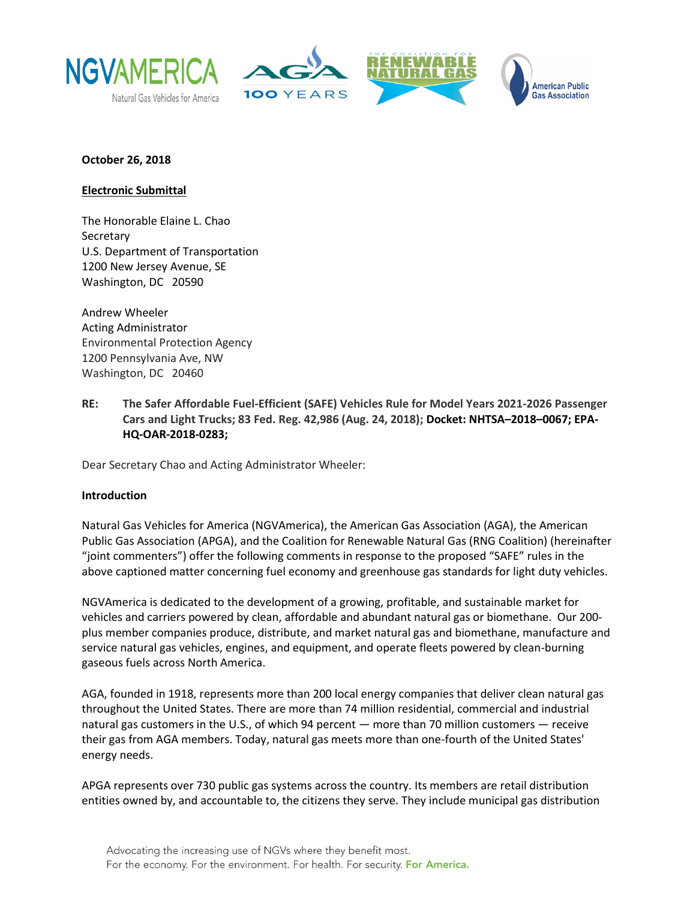





#### **October 26, 2018**

#### **Electronic Submittal**

The Honorable Elaine L. Chao Secretary U.S. Department of Transportation 1200 New Jersey Avenue, SE Washington, DC 20590

Andrew Wheeler Acting Administrator Environmental Protection Agency 1200 Pennsylvania Ave, NW Washington, DC 20460

**RE: The Safer Affordable Fuel-Efficient (SAFE) Vehicles Rule for Model Years 2021-2026 Passenger Cars and Light Trucks; 83 Fed. Reg. 42,986 (Aug. 24, 2018); Docket: NHTSA–2018–0067; EPA-HQ-OAR-2018-0283;**

Dear Secretary Chao and Acting Administrator Wheeler:

#### **Introduction**

Natural Gas Vehicles for America (NGVAmerica), the American Gas Association (AGA), the American Public Gas Association (APGA), and the Coalition for Renewable Natural Gas (RNG Coalition) (hereinafter "joint commenters") offer the following comments in response to the proposed "SAFE" rules in the above captioned matter concerning fuel economy and greenhouse gas standards for light duty vehicles.

NGVAmerica is dedicated to the development of a growing, profitable, and sustainable market for vehicles and carriers powered by clean, affordable and abundant natural gas or biomethane. Our 200 plus member companies produce, distribute, and market natural gas and biomethane, manufacture and service natural gas vehicles, engines, and equipment, and operate fleets powered by clean-burning gaseous fuels across North America.

AGA, founded in 1918, represents more than 200 local energy companies that deliver clean natural gas throughout the United States. There are more than 74 million residential, commercial and industrial natural gas customers in the U.S., of which 94 percent — more than 70 million customers — receive their gas from AGA members. Today, natural gas meets more than one-fourth of the United States' energy needs.

APGA represents over 730 public gas systems across the country. Its members are retail distribution entities owned by, and accountable to, the citizens they serve. They include municipal gas distribution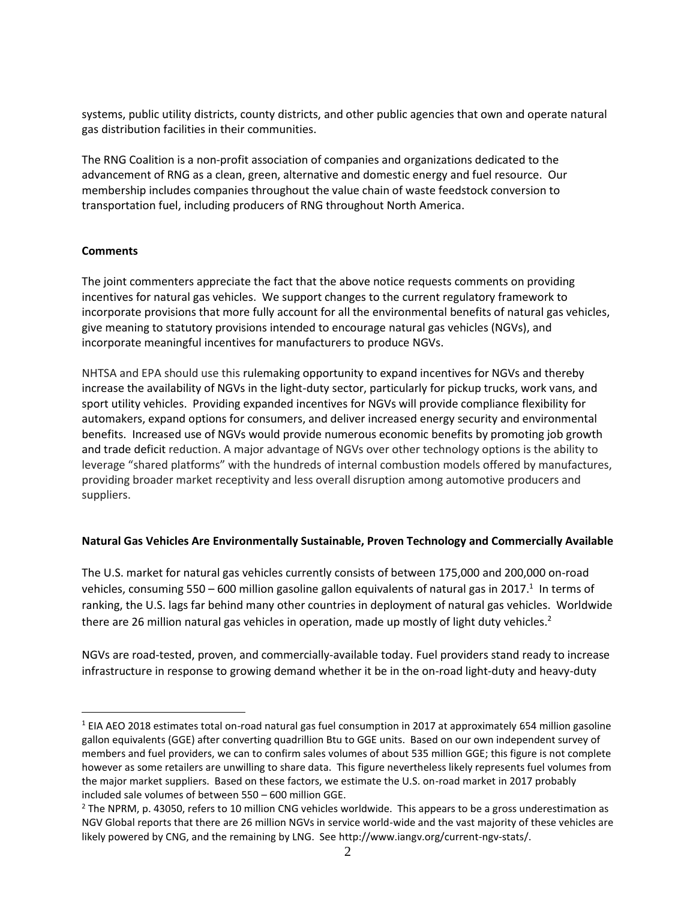systems, public utility districts, county districts, and other public agencies that own and operate natural gas distribution facilities in their communities.

The RNG Coalition is a non-profit association of companies and organizations dedicated to the advancement of RNG as a clean, green, alternative and domestic energy and fuel resource. Our membership includes companies throughout the value chain of waste feedstock conversion to transportation fuel, including producers of RNG throughout North America.

#### **Comments**

 $\overline{a}$ 

The joint commenters appreciate the fact that the above notice requests comments on providing incentives for natural gas vehicles. We support changes to the current regulatory framework to incorporate provisions that more fully account for all the environmental benefits of natural gas vehicles, give meaning to statutory provisions intended to encourage natural gas vehicles (NGVs), and incorporate meaningful incentives for manufacturers to produce NGVs.

NHTSA and EPA should use this rulemaking opportunity to expand incentives for NGVs and thereby increase the availability of NGVs in the light-duty sector, particularly for pickup trucks, work vans, and sport utility vehicles. Providing expanded incentives for NGVs will provide compliance flexibility for automakers, expand options for consumers, and deliver increased energy security and environmental benefits. Increased use of NGVs would provide numerous economic benefits by promoting job growth and trade deficit reduction. A major advantage of NGVs over other technology options is the ability to leverage "shared platforms" with the hundreds of internal combustion models offered by manufactures, providing broader market receptivity and less overall disruption among automotive producers and suppliers.

# **Natural Gas Vehicles Are Environmentally Sustainable, Proven Technology and Commercially Available**

The U.S. market for natural gas vehicles currently consists of between 175,000 and 200,000 on-road vehicles, consuming 550 – 600 million gasoline gallon equivalents of natural gas in 2017.<sup>1</sup> In terms of ranking, the U.S. lags far behind many other countries in deployment of natural gas vehicles. Worldwide there are 26 million natural gas vehicles in operation, made up mostly of light duty vehicles.<sup>2</sup>

NGVs are road-tested, proven, and commercially-available today. Fuel providers stand ready to increase infrastructure in response to growing demand whether it be in the on-road light-duty and heavy-duty

 $1$  EIA AEO 2018 estimates total on-road natural gas fuel consumption in 2017 at approximately 654 million gasoline gallon equivalents (GGE) after converting quadrillion Btu to GGE units. Based on our own independent survey of members and fuel providers, we can to confirm sales volumes of about 535 million GGE; this figure is not complete however as some retailers are unwilling to share data. This figure nevertheless likely represents fuel volumes from the major market suppliers. Based on these factors, we estimate the U.S. on-road market in 2017 probably included sale volumes of between 550 – 600 million GGE.

 $<sup>2</sup>$  The NPRM, p. 43050, refers to 10 million CNG vehicles worldwide. This appears to be a gross underestimation as</sup> NGV Global reports that there are 26 million NGVs in service world-wide and the vast majority of these vehicles are likely powered by CNG, and the remaining by LNG. See http://www.iangv.org/current-ngv-stats/.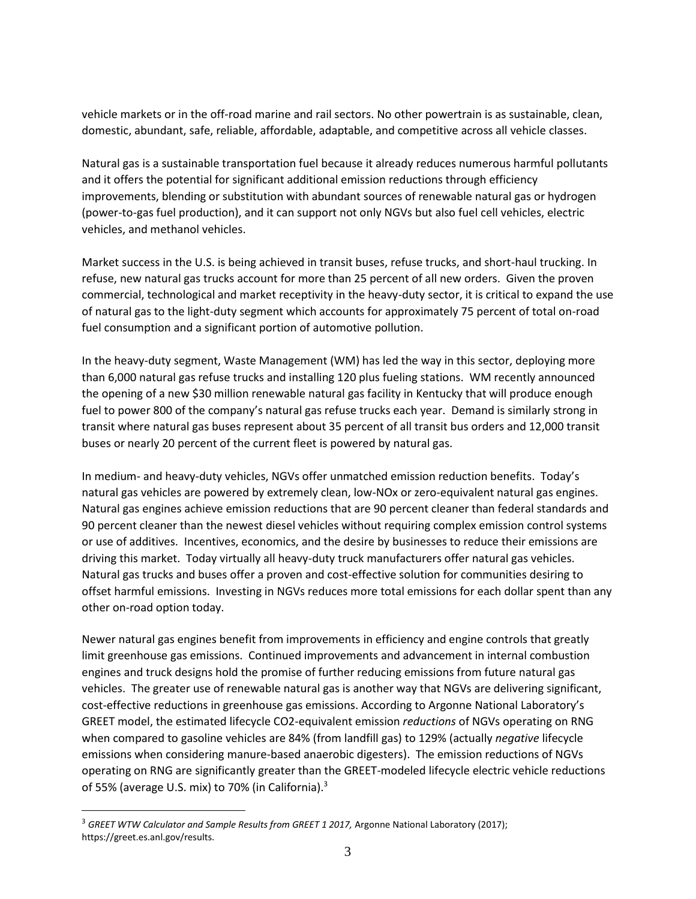vehicle markets or in the off-road marine and rail sectors. No other powertrain is as sustainable, clean, domestic, abundant, safe, reliable, affordable, adaptable, and competitive across all vehicle classes.

Natural gas is a sustainable transportation fuel because it already reduces numerous harmful pollutants and it offers the potential for significant additional emission reductions through efficiency improvements, blending or substitution with abundant sources of renewable natural gas or hydrogen (power-to-gas fuel production), and it can support not only NGVs but also fuel cell vehicles, electric vehicles, and methanol vehicles.

Market success in the U.S. is being achieved in transit buses, refuse trucks, and short-haul trucking. In refuse, new natural gas trucks account for more than 25 percent of all new orders. Given the proven commercial, technological and market receptivity in the heavy-duty sector, it is critical to expand the use of natural gas to the light-duty segment which accounts for approximately 75 percent of total on-road fuel consumption and a significant portion of automotive pollution.

In the heavy-duty segment, Waste Management (WM) has led the way in this sector, deploying more than 6,000 natural gas refuse trucks and installing 120 plus fueling stations. WM recently announced the opening of a new \$30 million renewable natural gas facility in Kentucky that will produce enough fuel to power 800 of the company's natural gas refuse trucks each year. Demand is similarly strong in transit where natural gas buses represent about 35 percent of all transit bus orders and 12,000 transit buses or nearly 20 percent of the current fleet is powered by natural gas.

In medium- and heavy-duty vehicles, NGVs offer unmatched emission reduction benefits. Today's natural gas vehicles are powered by extremely clean, low-NOx or zero-equivalent natural gas engines. Natural gas engines achieve emission reductions that are 90 percent cleaner than federal standards and 90 percent cleaner than the newest diesel vehicles without requiring complex emission control systems or use of additives. Incentives, economics, and the desire by businesses to reduce their emissions are driving this market. Today virtually all heavy-duty truck manufacturers offer natural gas vehicles. Natural gas trucks and buses offer a proven and cost-effective solution for communities desiring to offset harmful emissions. Investing in NGVs reduces more total emissions for each dollar spent than any other on-road option today.

Newer natural gas engines benefit from improvements in efficiency and engine controls that greatly limit greenhouse gas emissions. Continued improvements and advancement in internal combustion engines and truck designs hold the promise of further reducing emissions from future natural gas vehicles. The greater use of renewable natural gas is another way that NGVs are delivering significant, cost-effective reductions in greenhouse gas emissions. According to Argonne National Laboratory's GREET model, the estimated lifecycle CO2-equivalent emission *reductions* of NGVs operating on RNG when compared to gasoline vehicles are 84% (from landfill gas) to 129% (actually *negative* lifecycle emissions when considering manure-based anaerobic digesters). The emission reductions of NGVs operating on RNG are significantly greater than the GREET-modeled lifecycle electric vehicle reductions of 55% (average U.S. mix) to 70% (in California).<sup>3</sup>

 $\overline{a}$ 

<sup>&</sup>lt;sup>3</sup> GREET WTW Calculator and Sample Results from GREET 1 2017, Argonne National Laboratory (2017); https://greet.es.anl.gov/results.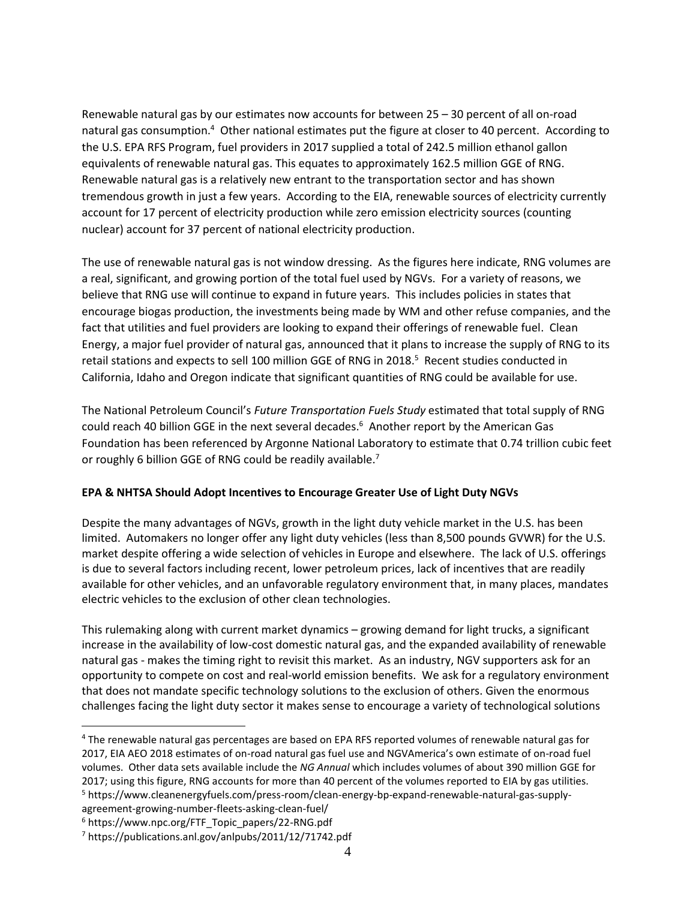Renewable natural gas by our estimates now accounts for between 25 – 30 percent of all on-road natural gas consumption.<sup>4</sup> Other national estimates put the figure at closer to 40 percent. According to the U.S. EPA RFS Program, fuel providers in 2017 supplied a total of 242.5 million ethanol gallon equivalents of renewable natural gas. This equates to approximately 162.5 million GGE of RNG. Renewable natural gas is a relatively new entrant to the transportation sector and has shown tremendous growth in just a few years. According to the EIA, renewable sources of electricity currently account for 17 percent of electricity production while zero emission electricity sources (counting nuclear) account for 37 percent of national electricity production.

The use of renewable natural gas is not window dressing. As the figures here indicate, RNG volumes are a real, significant, and growing portion of the total fuel used by NGVs. For a variety of reasons, we believe that RNG use will continue to expand in future years. This includes policies in states that encourage biogas production, the investments being made by WM and other refuse companies, and the fact that utilities and fuel providers are looking to expand their offerings of renewable fuel. Clean Energy, a major fuel provider of natural gas, announced that it plans to increase the supply of RNG to its retail stations and expects to sell 100 million GGE of RNG in 2018.<sup>5</sup> Recent studies conducted in California, Idaho and Oregon indicate that significant quantities of RNG could be available for use.

The National Petroleum Council's *Future Transportation Fuels Study* estimated that total supply of RNG could reach 40 billion GGE in the next several decades.<sup>6</sup> Another report by the American Gas Foundation has been referenced by Argonne National Laboratory to estimate that 0.74 trillion cubic feet or roughly 6 billion GGE of RNG could be readily available.<sup>7</sup>

# **EPA & NHTSA Should Adopt Incentives to Encourage Greater Use of Light Duty NGVs**

Despite the many advantages of NGVs, growth in the light duty vehicle market in the U.S. has been limited. Automakers no longer offer any light duty vehicles (less than 8,500 pounds GVWR) for the U.S. market despite offering a wide selection of vehicles in Europe and elsewhere. The lack of U.S. offerings is due to several factors including recent, lower petroleum prices, lack of incentives that are readily available for other vehicles, and an unfavorable regulatory environment that, in many places, mandates electric vehicles to the exclusion of other clean technologies.

This rulemaking along with current market dynamics – growing demand for light trucks, a significant increase in the availability of low-cost domestic natural gas, and the expanded availability of renewable natural gas - makes the timing right to revisit this market. As an industry, NGV supporters ask for an opportunity to compete on cost and real-world emission benefits. We ask for a regulatory environment that does not mandate specific technology solutions to the exclusion of others. Given the enormous challenges facing the light duty sector it makes sense to encourage a variety of technological solutions

<sup>5</sup> https://www.cleanenergyfuels.com/press-room/clean-energy-bp-expand-renewable-natural-gas-supplyagreement-growing-number-fleets-asking-clean-fuel/

 $\overline{a}$ <sup>4</sup> The renewable natural gas percentages are based on EPA RFS reported volumes of renewable natural gas for 2017, EIA AEO 2018 estimates of on-road natural gas fuel use and NGVAmerica's own estimate of on-road fuel volumes. Other data sets available include the *NG Annual* which includes volumes of about 390 million GGE for 2017; using this figure, RNG accounts for more than 40 percent of the volumes reported to EIA by gas utilities.

<sup>6</sup> https://www.npc.org/FTF\_Topic\_papers/22-RNG.pdf

<sup>7</sup> https://publications.anl.gov/anlpubs/2011/12/71742.pdf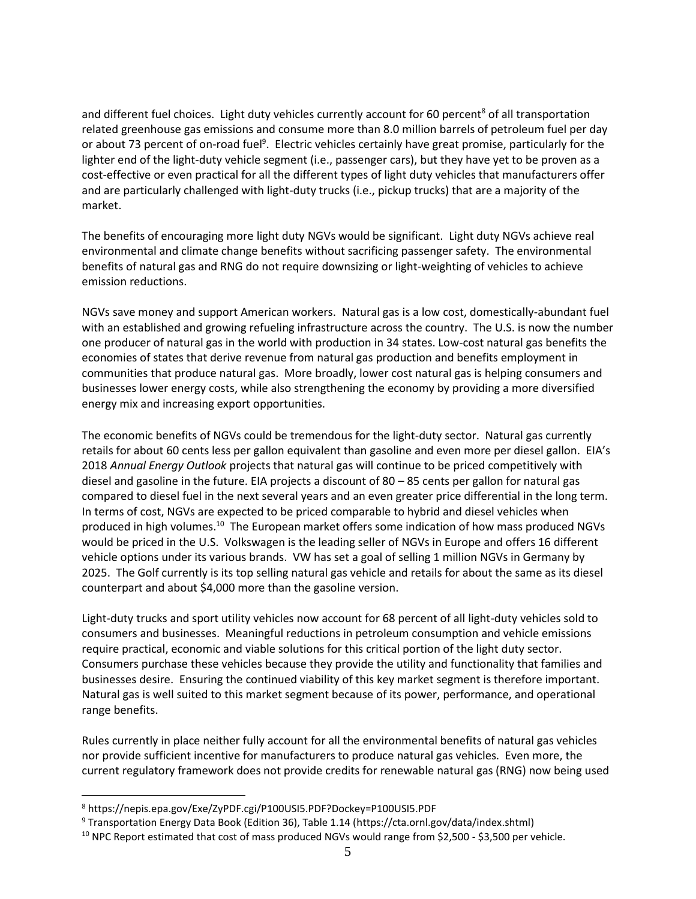and different fuel choices. Light duty vehicles currently account for 60 percent<sup>8</sup> of all transportation related greenhouse gas emissions and consume more than 8.0 million barrels of petroleum fuel per day or about 73 percent of on-road fuel<sup>9</sup>. Electric vehicles certainly have great promise, particularly for the lighter end of the light-duty vehicle segment (i.e., passenger cars), but they have yet to be proven as a cost-effective or even practical for all the different types of light duty vehicles that manufacturers offer and are particularly challenged with light-duty trucks (i.e., pickup trucks) that are a majority of the market.

The benefits of encouraging more light duty NGVs would be significant. Light duty NGVs achieve real environmental and climate change benefits without sacrificing passenger safety. The environmental benefits of natural gas and RNG do not require downsizing or light-weighting of vehicles to achieve emission reductions.

NGVs save money and support American workers. Natural gas is a low cost, domestically-abundant fuel with an established and growing refueling infrastructure across the country. The U.S. is now the number one producer of natural gas in the world with production in 34 states. Low-cost natural gas benefits the economies of states that derive revenue from natural gas production and benefits employment in communities that produce natural gas. More broadly, lower cost natural gas is helping consumers and businesses lower energy costs, while also strengthening the economy by providing a more diversified energy mix and increasing export opportunities.

The economic benefits of NGVs could be tremendous for the light-duty sector. Natural gas currently retails for about 60 cents less per gallon equivalent than gasoline and even more per diesel gallon. EIA's 2018 *Annual Energy Outlook* projects that natural gas will continue to be priced competitively with diesel and gasoline in the future. EIA projects a discount of 80 – 85 cents per gallon for natural gas compared to diesel fuel in the next several years and an even greater price differential in the long term. In terms of cost, NGVs are expected to be priced comparable to hybrid and diesel vehicles when produced in high volumes.<sup>10</sup> The European market offers some indication of how mass produced NGVs would be priced in the U.S. Volkswagen is the leading seller of NGVs in Europe and offers 16 different vehicle options under its various brands. VW has set a goal of selling 1 million NGVs in Germany by 2025. The Golf currently is its top selling natural gas vehicle and retails for about the same as its diesel counterpart and about \$4,000 more than the gasoline version.

Light-duty trucks and sport utility vehicles now account for 68 percent of all light-duty vehicles sold to consumers and businesses. Meaningful reductions in petroleum consumption and vehicle emissions require practical, economic and viable solutions for this critical portion of the light duty sector. Consumers purchase these vehicles because they provide the utility and functionality that families and businesses desire. Ensuring the continued viability of this key market segment is therefore important. Natural gas is well suited to this market segment because of its power, performance, and operational range benefits.

Rules currently in place neither fully account for all the environmental benefits of natural gas vehicles nor provide sufficient incentive for manufacturers to produce natural gas vehicles. Even more, the current regulatory framework does not provide credits for renewable natural gas (RNG) now being used

 $\overline{a}$ 

<sup>8</sup> https://nepis.epa.gov/Exe/ZyPDF.cgi/P100USI5.PDF?Dockey=P100USI5.PDF

<sup>9</sup> Transportation Energy Data Book (Edition 36), Table 1.14 (https://cta.ornl.gov/data/index.shtml)

<sup>&</sup>lt;sup>10</sup> NPC Report estimated that cost of mass produced NGVs would range from \$2,500 - \$3,500 per vehicle.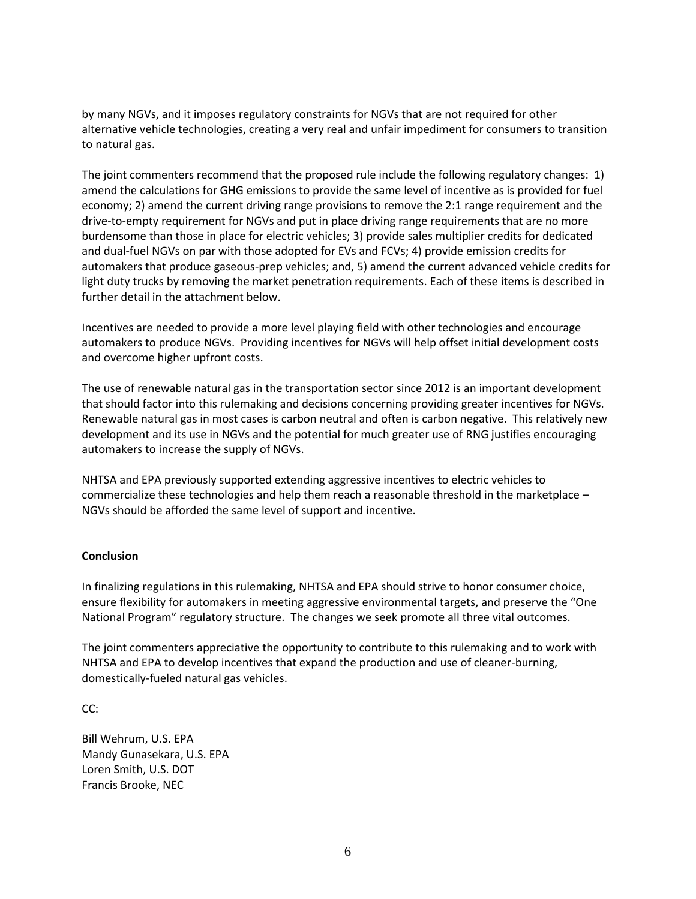by many NGVs, and it imposes regulatory constraints for NGVs that are not required for other alternative vehicle technologies, creating a very real and unfair impediment for consumers to transition to natural gas.

The joint commenters recommend that the proposed rule include the following regulatory changes: 1) amend the calculations for GHG emissions to provide the same level of incentive as is provided for fuel economy; 2) amend the current driving range provisions to remove the 2:1 range requirement and the drive-to-empty requirement for NGVs and put in place driving range requirements that are no more burdensome than those in place for electric vehicles; 3) provide sales multiplier credits for dedicated and dual-fuel NGVs on par with those adopted for EVs and FCVs; 4) provide emission credits for automakers that produce gaseous-prep vehicles; and, 5) amend the current advanced vehicle credits for light duty trucks by removing the market penetration requirements. Each of these items is described in further detail in the attachment below.

Incentives are needed to provide a more level playing field with other technologies and encourage automakers to produce NGVs. Providing incentives for NGVs will help offset initial development costs and overcome higher upfront costs.

The use of renewable natural gas in the transportation sector since 2012 is an important development that should factor into this rulemaking and decisions concerning providing greater incentives for NGVs. Renewable natural gas in most cases is carbon neutral and often is carbon negative. This relatively new development and its use in NGVs and the potential for much greater use of RNG justifies encouraging automakers to increase the supply of NGVs.

NHTSA and EPA previously supported extending aggressive incentives to electric vehicles to commercialize these technologies and help them reach a reasonable threshold in the marketplace – NGVs should be afforded the same level of support and incentive.

#### **Conclusion**

In finalizing regulations in this rulemaking, NHTSA and EPA should strive to honor consumer choice, ensure flexibility for automakers in meeting aggressive environmental targets, and preserve the "One National Program" regulatory structure. The changes we seek promote all three vital outcomes.

The joint commenters appreciative the opportunity to contribute to this rulemaking and to work with NHTSA and EPA to develop incentives that expand the production and use of cleaner-burning, domestically-fueled natural gas vehicles.

CC:

Bill Wehrum, U.S. EPA Mandy Gunasekara, U.S. EPA Loren Smith, U.S. DOT Francis Brooke, NEC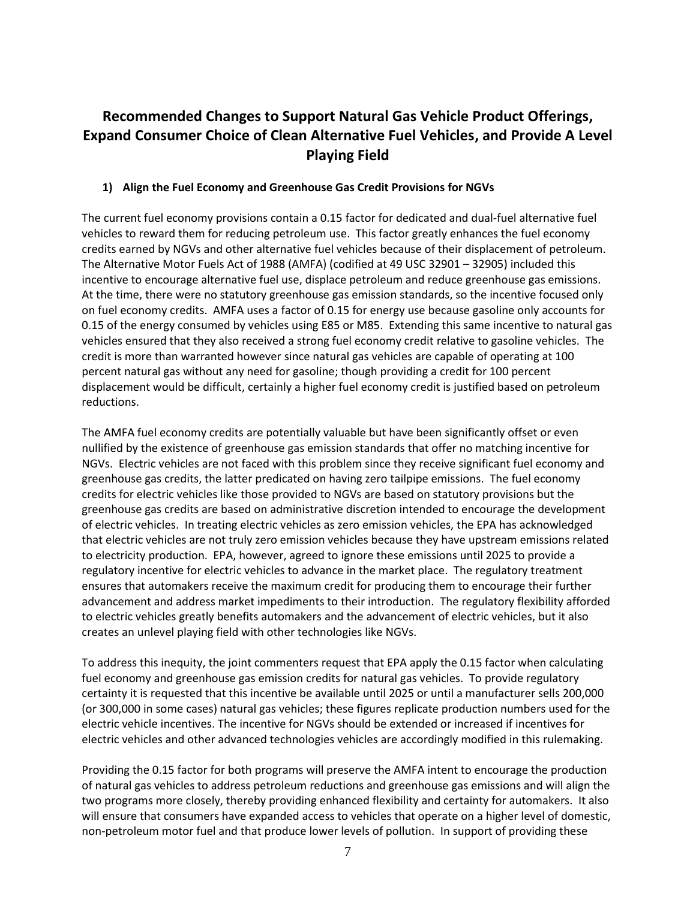# **Recommended Changes to Support Natural Gas Vehicle Product Offerings, Expand Consumer Choice of Clean Alternative Fuel Vehicles, and Provide A Level Playing Field**

## **1) Align the Fuel Economy and Greenhouse Gas Credit Provisions for NGVs**

The current fuel economy provisions contain a 0.15 factor for dedicated and dual-fuel alternative fuel vehicles to reward them for reducing petroleum use. This factor greatly enhances the fuel economy credits earned by NGVs and other alternative fuel vehicles because of their displacement of petroleum. The Alternative Motor Fuels Act of 1988 (AMFA) (codified at 49 USC 32901 – 32905) included this incentive to encourage alternative fuel use, displace petroleum and reduce greenhouse gas emissions. At the time, there were no statutory greenhouse gas emission standards, so the incentive focused only on fuel economy credits. AMFA uses a factor of 0.15 for energy use because gasoline only accounts for 0.15 of the energy consumed by vehicles using E85 or M85. Extending this same incentive to natural gas vehicles ensured that they also received a strong fuel economy credit relative to gasoline vehicles. The credit is more than warranted however since natural gas vehicles are capable of operating at 100 percent natural gas without any need for gasoline; though providing a credit for 100 percent displacement would be difficult, certainly a higher fuel economy credit is justified based on petroleum reductions.

The AMFA fuel economy credits are potentially valuable but have been significantly offset or even nullified by the existence of greenhouse gas emission standards that offer no matching incentive for NGVs. Electric vehicles are not faced with this problem since they receive significant fuel economy and greenhouse gas credits, the latter predicated on having zero tailpipe emissions. The fuel economy credits for electric vehicles like those provided to NGVs are based on statutory provisions but the greenhouse gas credits are based on administrative discretion intended to encourage the development of electric vehicles. In treating electric vehicles as zero emission vehicles, the EPA has acknowledged that electric vehicles are not truly zero emission vehicles because they have upstream emissions related to electricity production. EPA, however, agreed to ignore these emissions until 2025 to provide a regulatory incentive for electric vehicles to advance in the market place. The regulatory treatment ensures that automakers receive the maximum credit for producing them to encourage their further advancement and address market impediments to their introduction. The regulatory flexibility afforded to electric vehicles greatly benefits automakers and the advancement of electric vehicles, but it also creates an unlevel playing field with other technologies like NGVs.

To address this inequity, the joint commenters request that EPA apply the 0.15 factor when calculating fuel economy and greenhouse gas emission credits for natural gas vehicles. To provide regulatory certainty it is requested that this incentive be available until 2025 or until a manufacturer sells 200,000 (or 300,000 in some cases) natural gas vehicles; these figures replicate production numbers used for the electric vehicle incentives. The incentive for NGVs should be extended or increased if incentives for electric vehicles and other advanced technologies vehicles are accordingly modified in this rulemaking.

Providing the 0.15 factor for both programs will preserve the AMFA intent to encourage the production of natural gas vehicles to address petroleum reductions and greenhouse gas emissions and will align the two programs more closely, thereby providing enhanced flexibility and certainty for automakers. It also will ensure that consumers have expanded access to vehicles that operate on a higher level of domestic, non-petroleum motor fuel and that produce lower levels of pollution. In support of providing these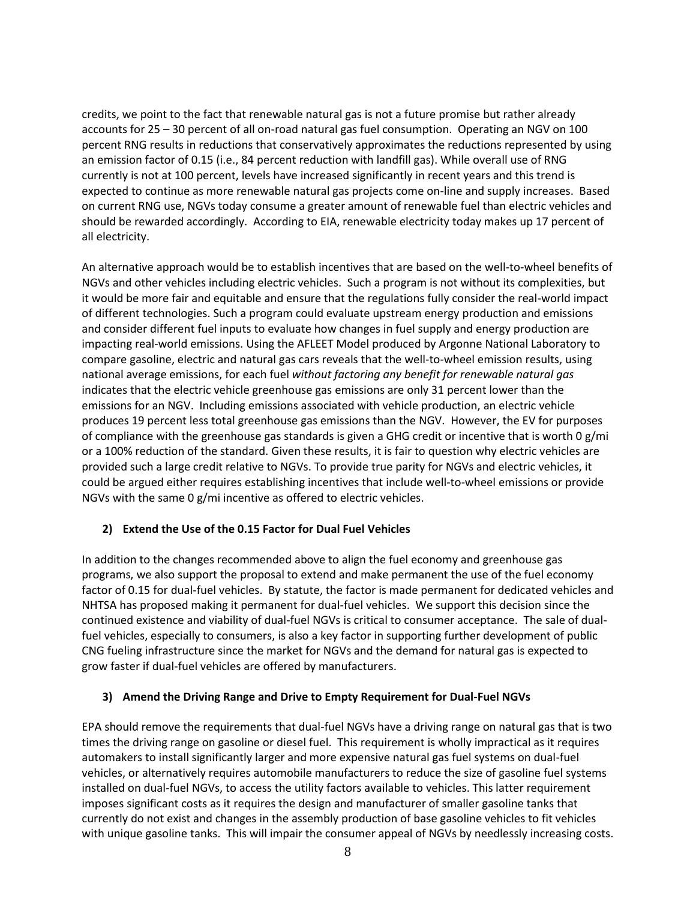credits, we point to the fact that renewable natural gas is not a future promise but rather already accounts for 25 – 30 percent of all on-road natural gas fuel consumption. Operating an NGV on 100 percent RNG results in reductions that conservatively approximates the reductions represented by using an emission factor of 0.15 (i.e., 84 percent reduction with landfill gas). While overall use of RNG currently is not at 100 percent, levels have increased significantly in recent years and this trend is expected to continue as more renewable natural gas projects come on-line and supply increases. Based on current RNG use, NGVs today consume a greater amount of renewable fuel than electric vehicles and should be rewarded accordingly. According to EIA, renewable electricity today makes up 17 percent of all electricity.

An alternative approach would be to establish incentives that are based on the well-to-wheel benefits of NGVs and other vehicles including electric vehicles. Such a program is not without its complexities, but it would be more fair and equitable and ensure that the regulations fully consider the real-world impact of different technologies. Such a program could evaluate upstream energy production and emissions and consider different fuel inputs to evaluate how changes in fuel supply and energy production are impacting real-world emissions. Using the AFLEET Model produced by Argonne National Laboratory to compare gasoline, electric and natural gas cars reveals that the well-to-wheel emission results, using national average emissions, for each fuel *without factoring any benefit for renewable natural gas* indicates that the electric vehicle greenhouse gas emissions are only 31 percent lower than the emissions for an NGV. Including emissions associated with vehicle production, an electric vehicle produces 19 percent less total greenhouse gas emissions than the NGV. However, the EV for purposes of compliance with the greenhouse gas standards is given a GHG credit or incentive that is worth 0 g/mi or a 100% reduction of the standard. Given these results, it is fair to question why electric vehicles are provided such a large credit relative to NGVs. To provide true parity for NGVs and electric vehicles, it could be argued either requires establishing incentives that include well-to-wheel emissions or provide NGVs with the same 0 g/mi incentive as offered to electric vehicles.

# **2) Extend the Use of the 0.15 Factor for Dual Fuel Vehicles**

In addition to the changes recommended above to align the fuel economy and greenhouse gas programs, we also support the proposal to extend and make permanent the use of the fuel economy factor of 0.15 for dual-fuel vehicles. By statute, the factor is made permanent for dedicated vehicles and NHTSA has proposed making it permanent for dual-fuel vehicles. We support this decision since the continued existence and viability of dual-fuel NGVs is critical to consumer acceptance. The sale of dualfuel vehicles, especially to consumers, is also a key factor in supporting further development of public CNG fueling infrastructure since the market for NGVs and the demand for natural gas is expected to grow faster if dual-fuel vehicles are offered by manufacturers.

# **3) Amend the Driving Range and Drive to Empty Requirement for Dual-Fuel NGVs**

EPA should remove the requirements that dual-fuel NGVs have a driving range on natural gas that is two times the driving range on gasoline or diesel fuel. This requirement is wholly impractical as it requires automakers to install significantly larger and more expensive natural gas fuel systems on dual-fuel vehicles, or alternatively requires automobile manufacturers to reduce the size of gasoline fuel systems installed on dual-fuel NGVs, to access the utility factors available to vehicles. This latter requirement imposes significant costs as it requires the design and manufacturer of smaller gasoline tanks that currently do not exist and changes in the assembly production of base gasoline vehicles to fit vehicles with unique gasoline tanks. This will impair the consumer appeal of NGVs by needlessly increasing costs.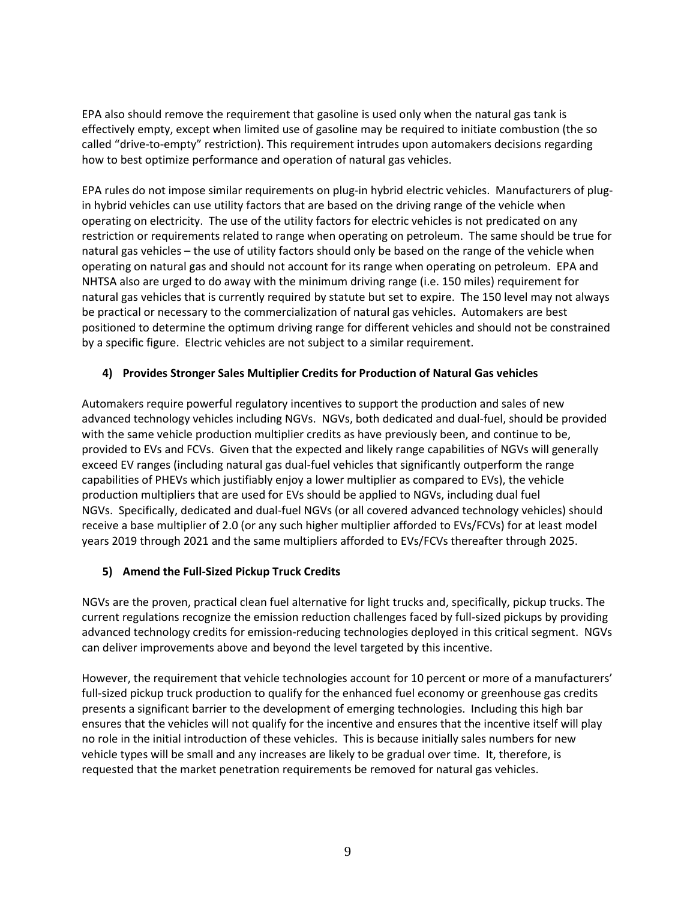EPA also should remove the requirement that gasoline is used only when the natural gas tank is effectively empty, except when limited use of gasoline may be required to initiate combustion (the so called "drive-to-empty" restriction). This requirement intrudes upon automakers decisions regarding how to best optimize performance and operation of natural gas vehicles.

EPA rules do not impose similar requirements on plug-in hybrid electric vehicles. Manufacturers of plugin hybrid vehicles can use utility factors that are based on the driving range of the vehicle when operating on electricity. The use of the utility factors for electric vehicles is not predicated on any restriction or requirements related to range when operating on petroleum. The same should be true for natural gas vehicles – the use of utility factors should only be based on the range of the vehicle when operating on natural gas and should not account for its range when operating on petroleum. EPA and NHTSA also are urged to do away with the minimum driving range (i.e. 150 miles) requirement for natural gas vehicles that is currently required by statute but set to expire. The 150 level may not always be practical or necessary to the commercialization of natural gas vehicles. Automakers are best positioned to determine the optimum driving range for different vehicles and should not be constrained by a specific figure. Electric vehicles are not subject to a similar requirement.

# **4) Provides Stronger Sales Multiplier Credits for Production of Natural Gas vehicles**

Automakers require powerful regulatory incentives to support the production and sales of new advanced technology vehicles including NGVs. NGVs, both dedicated and dual-fuel, should be provided with the same vehicle production multiplier credits as have previously been, and continue to be, provided to EVs and FCVs. Given that the expected and likely range capabilities of NGVs will generally exceed EV ranges (including natural gas dual-fuel vehicles that significantly outperform the range capabilities of PHEVs which justifiably enjoy a lower multiplier as compared to EVs), the vehicle production multipliers that are used for EVs should be applied to NGVs, including dual fuel NGVs. Specifically, dedicated and dual-fuel NGVs (or all covered advanced technology vehicles) should receive a base multiplier of 2.0 (or any such higher multiplier afforded to EVs/FCVs) for at least model years 2019 through 2021 and the same multipliers afforded to EVs/FCVs thereafter through 2025.

# **5) Amend the Full-Sized Pickup Truck Credits**

NGVs are the proven, practical clean fuel alternative for light trucks and, specifically, pickup trucks. The current regulations recognize the emission reduction challenges faced by full-sized pickups by providing advanced technology credits for emission-reducing technologies deployed in this critical segment. NGVs can deliver improvements above and beyond the level targeted by this incentive.

However, the requirement that vehicle technologies account for 10 percent or more of a manufacturers' full-sized pickup truck production to qualify for the enhanced fuel economy or greenhouse gas credits presents a significant barrier to the development of emerging technologies. Including this high bar ensures that the vehicles will not qualify for the incentive and ensures that the incentive itself will play no role in the initial introduction of these vehicles. This is because initially sales numbers for new vehicle types will be small and any increases are likely to be gradual over time. It, therefore, is requested that the market penetration requirements be removed for natural gas vehicles.